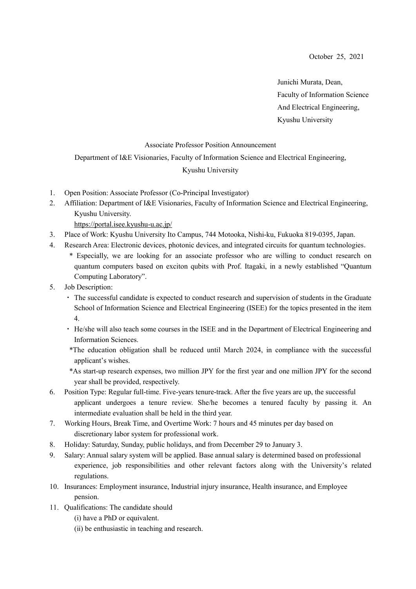Junichi Murata, Dean, Faculty of Information Science And Electrical Engineering, Kyushu University

## Associate Professor Position Announcement

## Department of I&E Visionaries, Faculty of Information Science and Electrical Engineering,

## Kyushu University

- 1. Open Position: Associate Professor (Co-Principal Investigator)
- 2. Affiliation: Department of I&E Visionaries, Faculty of Information Science and Electrical Engineering, Kyushu University. <https://portal.isee.kyushu-u.ac.jp/>
- 3. Place of Work: Kyushu University Ito Campus, 744 Motooka, Nishi-ku, Fukuoka 819-0395, Japan.
- 4. Research Area: Electronic devices, photonic devices, and integrated circuits for quantum technologies.
	- \* Especially, we are looking for an associate professor who are willing to conduct research on quantum computers based on exciton qubits with Prof. Itagaki, in a newly established "Quantum Computing Laboratory".
- 5. Job Description:
	- ・ The successful candidate is expected to conduct research and supervision of students in the Graduate School of Information Science and Electrical Engineering (ISEE) for the topics presented in the item 4.
	- ・ He/she will also teach some courses in the ISEE and in the Department of Electrical Engineering and Information Sciences.
	- \*The education obligation shall be reduced until March 2024, in compliance with the successful applicant's wishes.
	- \*As start-up research expenses, two million JPY for the first year and one million JPY for the second year shall be provided, respectively.
- 6. Position Type: Regular full-time. Five-years tenure-track. After the five years are up, the successful applicant undergoes a tenure review. She/he becomes a tenured faculty by passing it. An intermediate evaluation shall be held in the third year.
- 7. Working Hours, Break Time, and Overtime Work: 7 hours and 45 minutes per day based on discretionary labor system for professional work.
- 8. Holiday: Saturday, Sunday, public holidays, and from December 29 to January 3.
- 9. Salary: Annual salary system will be applied. Base annual salary is determined based on professional experience, job responsibilities and other relevant factors along with the University's related regulations.
- 10. Insurances: Employment insurance, Industrial injury insurance, Health insurance, and Employee pension.
- 11. Qualifications: The candidate should
	- (i) have a PhD or equivalent.
	- (ⅱ) be enthusiastic in teaching and research.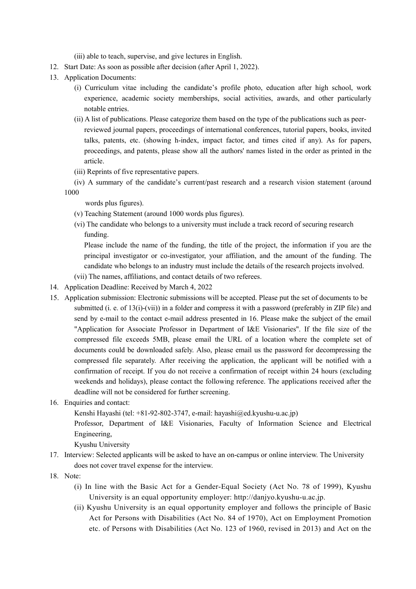- (ⅲ) able to teach, supervise, and give lectures in English.
- 12. Start Date: As soon as possible after decision (after April 1, 2022).
- 13. Application Documents:
	- (i) Curriculum vitae including the candidate's profile photo, education after high school, work experience, academic society memberships, social activities, awards, and other particularly notable entries.
	- (ii) A list of publications. Please categorize them based on the type of the publications such as peerreviewed journal papers, proceedings of international conferences, tutorial papers, books, invited talks, patents, etc. (showing h-index, impact factor, and times cited if any). As for papers, proceedings, and patents, please show all the authors' names listed in the order as printed in the article.
	- (iii) Reprints of five representative papers.
	- (iv) A summary of the candidate's current/past research and a research vision statement (around 1000

words plus figures).

- (v) Teaching Statement (around 1000 words plus figures).
- (vi) The candidate who belongs to a university must include a track record of securing research funding.

Please include the name of the funding, the title of the project, the information if you are the principal investigator or co-investigator, your affiliation, and the amount of the funding. The candidate who belongs to an industry must include the details of the research projects involved.

- (vii) The names, affiliations, and contact details of two referees.
- 14. Application Deadline: Received by March 4, 2022
- 15. Application submission: Electronic submissions will be accepted. Please put the set of documents to be submitted (i. e. of 13(i)-(vii)) in a folder and compress it with a password (preferably in ZIP file) and send by e-mail to the contact e-mail address presented in 16. Please make the subject of the email "Application for Associate Professor in Department of I&E Visionaries". If the file size of the compressed file exceeds 5MB, please email the URL of a location where the complete set of documents could be downloaded safely. Also, please email us the password for decompressing the compressed file separately. After receiving the application, the applicant will be notified with a confirmation of receipt. If you do not receive a confirmation of receipt within 24 hours (excluding weekends and holidays), please contact the following reference. The applications received after the deadline will not be considered for further screening.

## 16. Enquiries and contact:

Kenshi Hayashi (tel: +81-92-802-3747, e-mail: hayashi@ed.kyushu-u.ac.jp)

Professor, Department of I&E Visionaries, Faculty of Information Science and Electrical Engineering,

Kyushu University

- 17. Interview: Selected applicants will be asked to have an on-campus or online interview. The University does not cover travel expense for the interview.
- 18. Note:
	- (i) In line with the Basic Act for a Gender-Equal Society (Act No. 78 of 1999), Kyushu University is an equal opportunity employer: http://danjyo.kyushu-u.ac.jp.
	- (ii) Kyushu University is an equal opportunity employer and follows the principle of Basic Act for Persons with Disabilities (Act No. 84 of 1970), Act on Employment Promotion etc. of Persons with Disabilities (Act No. 123 of 1960, revised in 2013) and Act on the